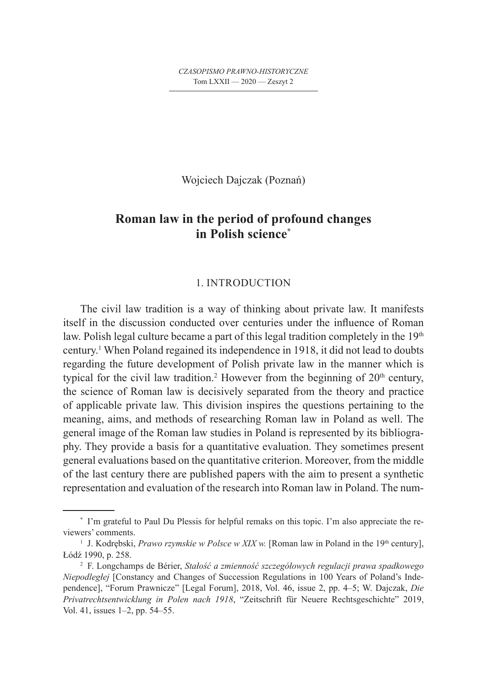Wojciech Dajczak (Poznań)

# **Roman law in the period of profound changes in Polish science\***

# 1. INTRODUCTION

The civil law tradition is a way of thinking about private law. It manifests itself in the discussion conducted over centuries under the influence of Roman law. Polish legal culture became a part of this legal tradition completely in the  $19<sup>th</sup>$ century.1 When Poland regained its independence in 1918, it did not lead to doubts regarding the future development of Polish private law in the manner which is typical for the civil law tradition.<sup>2</sup> However from the beginning of  $20<sup>th</sup>$  century, the science of Roman law is decisively separated from the theory and practice of applicable private law. This division inspires the questions pertaining to the meaning, aims, and methods of researching Roman law in Poland as well. The general image of the Roman law studies in Poland is represented by its bibliography. They provide a basis for a quantitative evaluation. They sometimes present general evaluations based on the quantitative criterion. Moreover, from the middle of the last century there are published papers with the aim to present a synthetic representation and evaluation of the research into Roman law in Poland. The num-

<sup>\*</sup> I'm grateful to Paul Du Plessis for helpful remaks on this topic. I'm also appreciate the reviewers' comments.

<sup>&</sup>lt;sup>1</sup> J. Kodrębski, *Prawo rzymskie w Polsce w XIX w*. [Roman law in Poland in the 19<sup>th</sup> century], Łódź 1990, p. 258. 2 F. Longchamps de Bérier, *Stałość a zmienność szczegółowych regulacji prawa spadkowego* 

*Niepodległej* [Constancy and Changes of Succession Regulations in 100 Years of Poland's Independence], "Forum Prawnicze" [Legal Forum], 2018, Vol. 46, issue 2, pp. 4–5; W. Dajczak, *Die Privatrechtsentwicklung in Polen nach 1918*, "Zeitschrift für Neuere Rechtsgeschichte" 2019, Vol. 41, issues 1–2, pp. 54–55.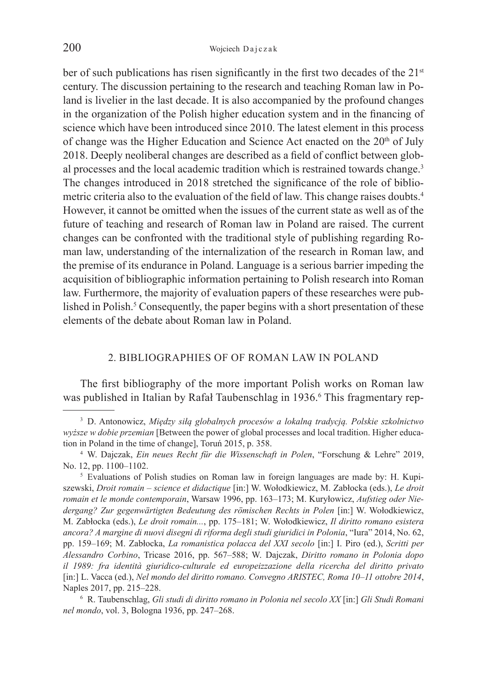ber of such publications has risen significantly in the first two decades of the  $21<sup>st</sup>$ century. The discussion pertaining to the research and teaching Roman law in Poland is livelier in the last decade. It is also accompanied by the profound changes in the organization of the Polish higher education system and in the financing of science which have been introduced since 2010. The latest element in this process of change was the Higher Education and Science Act enacted on the 20<sup>th</sup> of July 2018. Deeply neoliberal changes are described as a field of conflict between global processes and the local academic tradition which is restrained towards change.<sup>3</sup> The changes introduced in 2018 stretched the significance of the role of bibliometric criteria also to the evaluation of the field of law. This change raises doubts.4 However, it cannot be omitted when the issues of the current state as well as of the future of teaching and research of Roman law in Poland are raised. The current changes can be confronted with the traditional style of publishing regarding Roman law, understanding of the internalization of the research in Roman law, and the premise of its endurance in Poland. Language is a serious barrier impeding the acquisition of bibliographic information pertaining to Polish research into Roman law. Furthermore, the majority of evaluation papers of these researches were published in Polish.<sup>5</sup> Consequently, the paper begins with a short presentation of these elements of the debate about Roman law in Poland.

## 2. BIBLIOGRAPHIES OF OF ROMAN LAW IN POLAND

The first bibliography of the more important Polish works on Roman law was published in Italian by Rafał Taubenschlag in 1936.<sup>6</sup> This fragmentary rep-

<sup>3</sup> D. Antonowicz, *Między siłą globalnych procesów a lokalną tradycją. Polskie szkolnictwo wyższe w dobie przemian* [Between the power of global processes and local tradition. Higher education in Poland in the time of change], Toruń 2015, p. 358. 4 W. Dajczak, *Ein neues Recht für die Wissenschaft in Polen*, "Forschung & Lehre" 2019,

No. 12, pp. 1100–1102.<br><sup>5</sup> Evaluations of Polish studies on Roman law in foreign languages are made by: H. Kupi-

szewski, *Droit romain – science et didactique* [in:] W. Wołodkiewicz, M. Zabłocka (eds.), *Le droit romain et le monde contemporain*, Warsaw 1996, pp. 163–173; M. Kuryłowicz, *Aufstieg oder Niedergang? Zur gegenwärtigten Bedeutung des römischen Rechts in Polen* [in:] W. Wołodkiewicz, M. Zabłocka (eds.), *Le droit romain...*, pp. 175–181; W. Wołodkiewicz, *Il diritto romano esistera ancora? A margine di nuovi disegni di riforma degli studi giuridici in Polonia*, "Iura" 2014, No. 62, pp. 159–169; M. Zabłocka, *La romanistica polacca del XXI secolo* [in:] I. Piro (ed.), *Scritti per Alessandro Corbino*, Tricase 2016, pp. 567–588; W. Dajczak, *Diritto romano in Polonia dopo il 1989: fra identità giuridico-culturale ed europeizzazione della ricercha del diritto privato* [in:] L. Vacca (ed.), *Nel mondo del diritto romano. Convegno ARISTEC, Roma 10–11 ottobre 2014*,

Naples 2017, pp. 215–228. 6 R. Taubenschlag, *Gli studi di diritto romano in Polonia nel secolo XX* [in:] *Gli Studi Romani nel mondo*, vol. 3, Bologna 1936, pp. 247–268.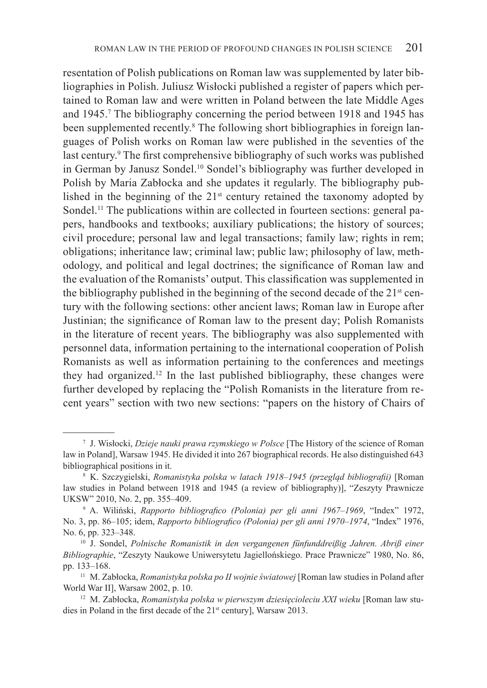resentation of Polish publications on Roman law was supplemented by later bibliographies in Polish. Juliusz Wisłocki published a register of papers which pertained to Roman law and were written in Poland between the late Middle Ages and 1945.7 The bibliography concerning the period between 1918 and 1945 has been supplemented recently.<sup>8</sup> The following short bibliographies in foreign languages of Polish works on Roman law were published in the seventies of the last century.<sup>9</sup> The first comprehensive bibliography of such works was published in German by Janusz Sondel.10 Sondel's bibliography was further developed in Polish by Maria Zabłocka and she updates it regularly. The bibliography published in the beginning of the 21st century retained the taxonomy adopted by Sondel.<sup>11</sup> The publications within are collected in fourteen sections: general papers, handbooks and textbooks; auxiliary publications; the history of sources; civil procedure; personal law and legal transactions; family law; rights in rem; obligations; inheritance law; criminal law; public law; philosophy of law, methodology, and political and legal doctrines; the significance of Roman law and the evaluation of the Romanists' output. This classification was supplemented in the bibliography published in the beginning of the second decade of the 21<sup>st</sup> century with the following sections: other ancient laws; Roman law in Europe after Justinian; the significance of Roman law to the present day; Polish Romanists in the literature of recent years. The bibliography was also supplemented with personnel data, information pertaining to the international cooperation of Polish Romanists as well as information pertaining to the conferences and meetings they had organized.12 In the last published bibliography, these changes were further developed by replacing the "Polish Romanists in the literature from recent years" section with two new sections: "papers on the history of Chairs of

<sup>7</sup> J. Wisłocki, *Dzieje nauki prawa rzymskiego w Polsce* [The History of the science of Roman law in Poland], Warsaw 1945. He divided it into 267 biographical records. He also distinguished 643 bibliographical positions in it.<br><sup>8</sup> K. Szczygielski, *Romanistyka polska w latach 1918–1945 (przegląd bibliografii)* [Roman

law studies in Poland between 1918 and 1945 (a review of bibliography)], "Zeszyty Prawnicze UKSW" 2010, No. 2, pp. 355–409.<br><sup>9</sup> A. Wiliński, *Rapporto bibliografico (Polonia) per gli anni 1967–1969*, "Index" 1972,

No. 3, pp. 86–105; idem, *Rapporto bibliografico (Polonia) per gli anni 1970–1974*, "Index" 1976, No. 6, pp. 323–348. 10 J. Sondel, *Polnische Romanistik in den vergangenen fünfunddreißig Jahren. Abriß einer* 

*Bibliographie*, "Zeszyty Naukowe Uniwersytetu Jagiellońskiego. Prace Prawnicze" 1980, No. 86,

pp. 133–168. 11 M. Zabłocka, *Romanistyka polska po II wojnie światowej* [Roman law studies in Poland after World War II], Warsaw 2002, p. 10.<br><sup>12</sup> M. Zabłocka, *Romanistyka polska w pierwszym dziesięcioleciu XXI wieku* [Roman law stu-

dies in Poland in the first decade of the 21<sup>st</sup> century], Warsaw 2013.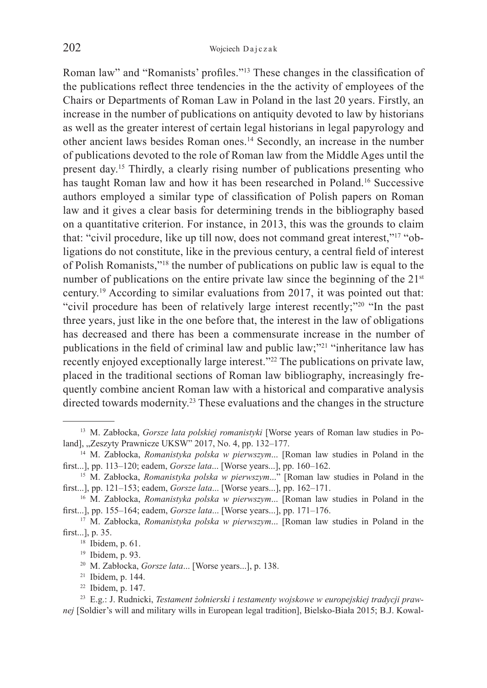Roman law" and "Romanists' profiles."13 These changes in the classification of the publications reflect three tendencies in the the activity of employees of the Chairs or Departments of Roman Law in Poland in the last 20 years. Firstly, an increase in the number of publications on antiquity devoted to law by historians as well as the greater interest of certain legal historians in legal papyrology and other ancient laws besides Roman ones.14 Secondly, an increase in the number of publications devoted to the role of Roman law from the Middle Ages until the present day.15 Thirdly, a clearly rising number of publications presenting who has taught Roman law and how it has been researched in Poland.<sup>16</sup> Successive authors employed a similar type of classification of Polish papers on Roman law and it gives a clear basis for determining trends in the bibliography based on a quantitative criterion. For instance, in 2013, this was the grounds to claim that: "civil procedure, like up till now, does not command great interest,"17 "obligations do not constitute, like in the previous century, a central field of interest of Polish Romanists,"18 the number of publications on public law is equal to the number of publications on the entire private law since the beginning of the 21<sup>st</sup> century.19 According to similar evaluations from 2017, it was pointed out that: "civil procedure has been of relatively large interest recently;"<sup>20</sup> "In the past three years, just like in the one before that, the interest in the law of obligations has decreased and there has been a commensurate increase in the number of publications in the field of criminal law and public law;"<sup>21</sup> "inheritance law has recently enjoyed exceptionally large interest."<sup>22</sup> The publications on private law, placed in the traditional sections of Roman law bibliography, increasingly frequently combine ancient Roman law with a historical and comparative analysis directed towards modernity.<sup>23</sup> These evaluations and the changes in the structure

<sup>13</sup> M. Zabłocka, *Gorsze lata polskiej romanistyki* [Worse years of Roman law studies in Poland], "Zeszyty Prawnicze UKSW" 2017, No. 4, pp. 132–177.<br><sup>14</sup> M. Zabłocka, *Romanistyka polska w pierwszym*... [Roman law studies in Poland in the

first...], pp. 113–120; eadem, *Gorsze lata*... [Worse years...], pp. 160–162. 15 M. Zabłocka, *Romanistyka polska w pierwszym*..." [Roman law studies in Poland in the

first...], pp. 121–153; eadem, *Gorsze lata*... [Worse years...], pp. 162–171.<br><sup>16</sup> M. Zabłocka, *Romanistyka polska w pierwszym*... [Roman law studies in Poland in the

first...], pp. 155–164; eadem, *Gorsze lata*... [Worse years...], pp. 171–176. 17 M. Zabłocka, *Romanistyka polska w pierwszym*... [Roman law studies in Poland in the

first...], p. 35.<br><sup>18</sup> Ibidem, p. 61.<br><sup>19</sup> Ibidem, p. 93.<br><sup>20</sup> M. Zabłocka, *Gorsze lata*... [Worse years...], p. 138.<br><sup>21</sup> Ibidem, p. 144.<br><sup>22</sup> Ibidem, p. 147.<br><sup>23</sup> E.g.: J. Rudnicki, *Testament żołnierski i testamenty w* 

*nej* [Soldier's will and military wills in European legal tradition], Bielsko-Biała 2015; B.J. Kowal-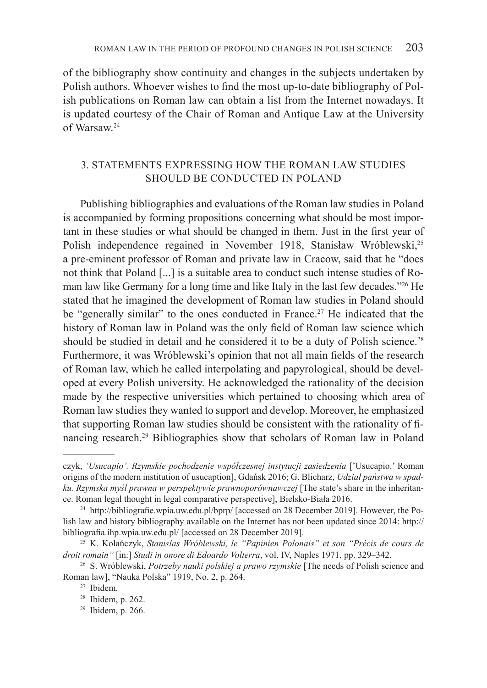of the bibliography show continuity and changes in the subjects undertaken by Polish authors. Whoever wishes to find the most up-to-date bibliography of Polish publications on Roman law can obtain a list from the Internet nowadays. It is updated courtesy of the Chair of Roman and Antique Law at the University of Warsaw.24

# 3. STATEMENTS EXPRESSING HOW THE ROMAN LAW STUDIES SHOULD BE CONDUCTED IN POLAND

Publishing bibliographies and evaluations of the Roman law studies in Poland is accompanied by forming propositions concerning what should be most important in these studies or what should be changed in them. Just in the first year of Polish independence regained in November 1918, Stanisław Wróblewski,<sup>25</sup> a pre-eminent professor of Roman and private law in Cracow, said that he "does not think that Poland [...] is a suitable area to conduct such intense studies of Roman law like Germany for a long time and like Italy in the last few decades."26 He stated that he imagined the development of Roman law studies in Poland should be "generally similar" to the ones conducted in France.<sup>27</sup> He indicated that the history of Roman law in Poland was the only field of Roman law science which should be studied in detail and he considered it to be a duty of Polish science.<sup>28</sup> Furthermore, it was Wróblewski's opinion that not all main fields of the research of Roman law, which he called interpolating and papyrological, should be developed at every Polish university. He acknowledged the rationality of the decision made by the respective universities which pertained to choosing which area of Roman law studies they wanted to support and develop. Moreover, he emphasized that supporting Roman law studies should be consistent with the rationality of financing research.29 Bibliographies show that scholars of Roman law in Poland

czyk, *'Usucapio'. Rzymskie pochodzenie współczesnej instytucji zasiedzenia* ['Usucapio.' Roman origins of the modern institution of usucaption], Gdańsk 2016; G. Blicharz, *Udział państwa w spadku. Rzymska myśl prawna w perspektywie prawnoporównawczej* [The state's share in the inheritance. Roman legal thought in legal comparative perspective], Bielsko-Biała 2016. 24 http://bibliografie.wpia.uw.edu.pl/bprp/ [accessed on 28 December 2019]. However, the Po-

lish law and history bibliography available on the Internet has not been updated since 2014: http:// bibliografia.ihp.wpia.uw.edu.pl/ [accessed on 28 December 2019]. 25 K. Kolańczyk, *Stanislas Wróblewski, le "Papinien Polonais" et son "Précis de cours de* 

*droit romain"* [in:] *Studi in onore di Edoardo Volterra*, vol. IV, Naples 1971, pp. 329–342. 26 S. Wróblewski, *Potrzeby nauki polskiej a prawo rzymskie* [The needs of Polish science and

Roman law], "Nauka Polska" 1919, No. 2, p. 264. 27 Ibidem.

<sup>&</sup>lt;sup>28</sup> Ibidem, p. 262.<br><sup>29</sup> Ibidem, p. 266.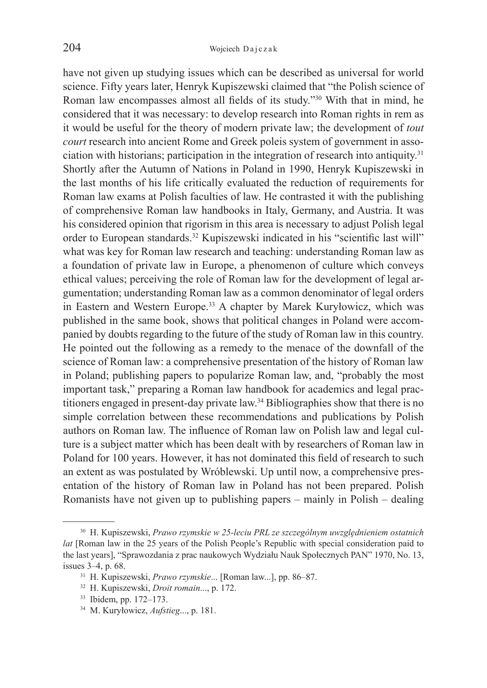have not given up studying issues which can be described as universal for world science. Fifty years later, Henryk Kupiszewski claimed that "the Polish science of Roman law encompasses almost all fields of its study."30 With that in mind, he considered that it was necessary: to develop research into Roman rights in rem as it would be useful for the theory of modern private law; the development of *tout court* research into ancient Rome and Greek poleis system of government in association with historians; participation in the integration of research into antiquity.31 Shortly after the Autumn of Nations in Poland in 1990, Henryk Kupiszewski in the last months of his life critically evaluated the reduction of requirements for Roman law exams at Polish faculties of law. He contrasted it with the publishing of comprehensive Roman law handbooks in Italy, Germany, and Austria. It was his considered opinion that rigorism in this area is necessary to adjust Polish legal order to European standards.32 Kupiszewski indicated in his "scientific last will" what was key for Roman law research and teaching: understanding Roman law as a foundation of private law in Europe, a phenomenon of culture which conveys ethical values; perceiving the role of Roman law for the development of legal argumentation; understanding Roman law as a common denominator of legal orders in Eastern and Western Europe.<sup>33</sup> A chapter by Marek Kuryłowicz, which was published in the same book, shows that political changes in Poland were accompanied by doubts regarding to the future of the study of Roman law in this country. He pointed out the following as a remedy to the menace of the downfall of the science of Roman law: a comprehensive presentation of the history of Roman law in Poland; publishing papers to popularize Roman law, and, "probably the most important task," preparing a Roman law handbook for academics and legal practitioners engaged in present-day private law.34 Bibliographies show that there is no simple correlation between these recommendations and publications by Polish authors on Roman law. The influence of Roman law on Polish law and legal culture is a subject matter which has been dealt with by researchers of Roman law in Poland for 100 years. However, it has not dominated this field of research to such an extent as was postulated by Wróblewski. Up until now, a comprehensive presentation of the history of Roman law in Poland has not been prepared. Polish Romanists have not given up to publishing papers – mainly in Polish – dealing

<sup>30</sup> H. Kupiszewski, *Prawo rzymskie w 25-leciu PRL ze szczególnym uwzględnieniem ostatnich lat* [Roman law in the 25 years of the Polish People's Republic with special consideration paid to the last years], "Sprawozdania z prac naukowych Wydziału Nauk Społecznych PAN" 1970, No. 13, issues 3–4, p. 68. 31 H. Kupiszewski, *Prawo rzymskie*... [Roman law...], pp. 86–87. 32 H. Kupiszewski, *Droit romain*..., p. 172. 33 Ibidem, pp. 172–173. 34 M. Kuryłowicz, *Aufstieg*..., p. 181.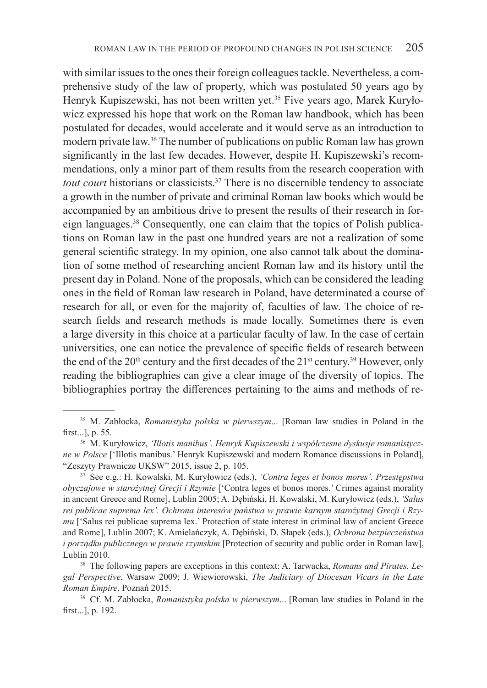with similar issues to the ones their foreign colleagues tackle. Nevertheless, a comprehensive study of the law of property, which was postulated 50 years ago by Henryk Kupiszewski, has not been written yet.35 Five years ago, Marek Kuryłowicz expressed his hope that work on the Roman law handbook, which has been postulated for decades, would accelerate and it would serve as an introduction to modern private law.36 The number of publications on public Roman law has grown significantly in the last few decades. However, despite H. Kupiszewski's recommendations, only a minor part of them results from the research cooperation with *tout court* historians or classicists.<sup>37</sup> There is no discernible tendency to associate a growth in the number of private and criminal Roman law books which would be accompanied by an ambitious drive to present the results of their research in foreign languages.38 Consequently, one can claim that the topics of Polish publications on Roman law in the past one hundred years are not a realization of some general scientific strategy. In my opinion, one also cannot talk about the domination of some method of researching ancient Roman law and its history until the present day in Poland. None of the proposals, which can be considered the leading ones in the field of Roman law research in Poland, have determinated a course of research for all, or even for the majority of, faculties of law. The choice of research fields and research methods is made locally. Sometimes there is even a large diversity in this choice at a particular faculty of law. In the case of certain universities, one can notice the prevalence of specific fields of research between the end of the  $20<sup>th</sup>$  century and the first decades of the  $21<sup>st</sup>$  century.<sup>39</sup> However, only reading the bibliographies can give a clear image of the diversity of topics. The bibliographies portray the differences pertaining to the aims and methods of re-

<sup>35</sup> M. Zabłocka, *Romanistyka polska w pierwszym*... [Roman law studies in Poland in the first...], p. 55. 36 M. Kuryłowicz, *'Illotis manibus'. Henryk Kupiszewski i współczesne dyskusje romanistycz-*

*ne w Polsce* ['Illotis manibus.' Henryk Kupiszewski and modern Romance discussions in Poland], "Zeszyty Prawnicze UKSW" 2015, issue 2, p. 105. 37 See e.g.: H. Kowalski, M. Kuryłowicz (eds.), *'Contra leges et bonos mores'. Przestępstwa* 

*obyczajowe w starożytnej Grecji i Rzymie* ['Contra leges et bonos mores.' Crimes against morality in ancient Greece and Rome], Lublin 2005; A. Dębiński, H. Kowalski, M. Kuryłowicz (eds.), *'Salus rei publicae suprema lex'. Ochrona interesów państwa w prawie karnym starożytnej Grecji i Rzymu* ['Salus rei publicae suprema lex.' Protection of state interest in criminal law of ancient Greece and Rome], Lublin 2007; K. Amielańczyk, A. Dębiński, D. Słapek (eds.), *Ochrona bezpieczeństwa i porządku publicznego w prawie rzymskim* [Protection of security and public order in Roman law], Lublin 2010. 38 The following papers are exceptions in this context: A. Tarwacka, *Romans and Pirates. Le-*

*gal Perspective*, Warsaw 2009; J. Wiewiorowski, *The Judiciary of Diocesan Vicars in the Late Roman Empire*, Poznań 2015. 39 Cf. M. Zabłocka, *Romanistyka polska w pierwszym*... [Roman law studies in Poland in the

first...], p. 192.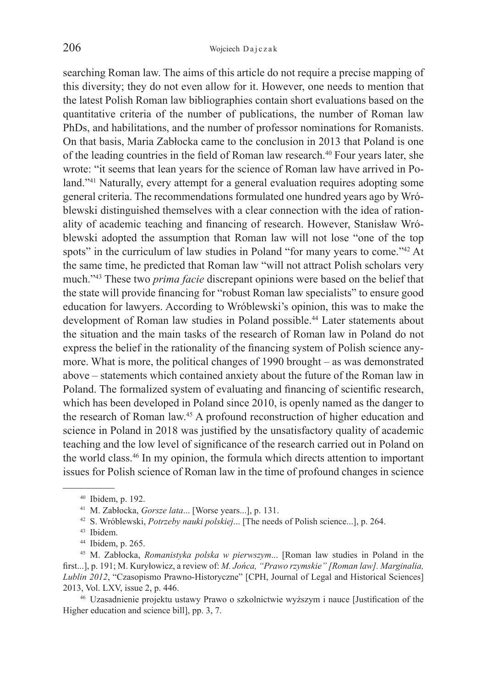searching Roman law. The aims of this article do not require a precise mapping of this diversity; they do not even allow for it. However, one needs to mention that the latest Polish Roman law bibliographies contain short evaluations based on the quantitative criteria of the number of publications, the number of Roman law PhDs, and habilitations, and the number of professor nominations for Romanists. On that basis, Maria Zabłocka came to the conclusion in 2013 that Poland is one of the leading countries in the field of Roman law research.40 Four years later, she wrote: "it seems that lean years for the science of Roman law have arrived in Poland."<sup>41</sup> Naturally, every attempt for a general evaluation requires adopting some general criteria. The recommendations formulated one hundred years ago by Wróblewski distinguished themselves with a clear connection with the idea of rationality of academic teaching and financing of research. However, Stanisław Wróblewski adopted the assumption that Roman law will not lose "one of the top spots" in the curriculum of law studies in Poland "for many years to come."<sup>42</sup> At the same time, he predicted that Roman law "will not attract Polish scholars very much."43 These two *prima facie* discrepant opinions were based on the belief that the state will provide financing for "robust Roman law specialists" to ensure good education for lawyers. According to Wróblewski's opinion, this was to make the development of Roman law studies in Poland possible.<sup>44</sup> Later statements about the situation and the main tasks of the research of Roman law in Poland do not express the belief in the rationality of the financing system of Polish science anymore. What is more, the political changes of 1990 brought – as was demonstrated above – statements which contained anxiety about the future of the Roman law in Poland. The formalized system of evaluating and financing of scientific research, which has been developed in Poland since 2010, is openly named as the danger to the research of Roman law.45 A profound reconstruction of higher education and science in Poland in 2018 was justified by the unsatisfactory quality of academic teaching and the low level of significance of the research carried out in Poland on the world class.46 In my opinion, the formula which directs attention to important issues for Polish science of Roman law in the time of profound changes in science

Higher education and science bill], pp. 3, 7.

<sup>&</sup>lt;sup>40</sup> Ibidem, p. 192.<br>
<sup>41</sup> M. Zabłocka, *Gorsze lata*... [Worse years...], p. 131.<br>
<sup>42</sup> S. Wróblewski, *Potrzeby nauki polskiej*... [The needs of Polish science...], p. 264.<br>
<sup>43</sup> Ibidem.<br>
<sup>44</sup> Ibidem, p. 265.<br>
<sup>45</sup> M. Z first...], p. 191; M. Kuryłowicz, a review of: *M. Jońca, "Prawo rzymskie" [Roman law]. Marginalia, Lublin 2012*, "Czasopismo Prawno-Historyczne" [CPH, Journal of Legal and Historical Sciences] 2013, Vol. LXV, issue 2, p. 446. 46 Uzasadnienie projektu ustawy Prawo o szkolnictwie wyższym i nauce [Justification of the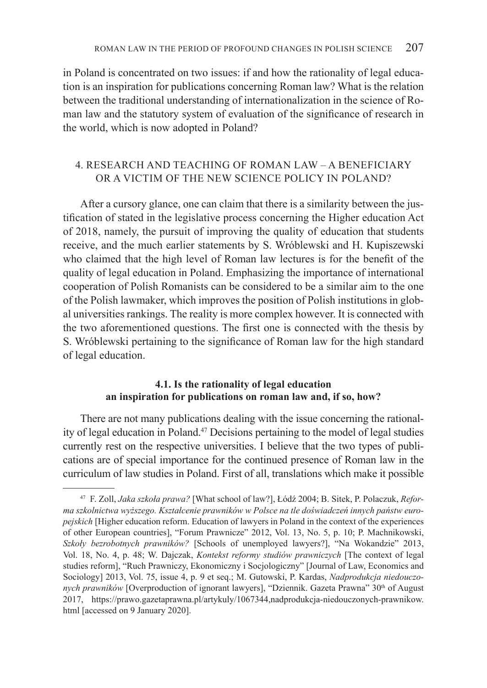in Poland is concentrated on two issues: if and how the rationality of legal education is an inspiration for publications concerning Roman law? What is the relation between the traditional understanding of internationalization in the science of Roman law and the statutory system of evaluation of the significance of research in the world, which is now adopted in Poland?

# 4. RESEARCH AND TEACHING OF ROMAN LAW – A BENEFICIARY OR A VICTIM OF THE NEW SCIENCE POLICY IN POLAND?

After a cursory glance, one can claim that there is a similarity between the justification of stated in the legislative process concerning the Higher education Act of 2018, namely, the pursuit of improving the quality of education that students receive, and the much earlier statements by S. Wróblewski and H. Kupiszewski who claimed that the high level of Roman law lectures is for the benefit of the quality of legal education in Poland. Emphasizing the importance of international cooperation of Polish Romanists can be considered to be a similar aim to the one of the Polish lawmaker, which improves the position of Polish institutions in global universities rankings. The reality is more complex however. It is connected with the two aforementioned questions. The first one is connected with the thesis by S. Wróblewski pertaining to the significance of Roman law for the high standard of legal education.

# **4.1. Is the rationality of legal education an inspiration for publications on roman law and, if so, how?**

There are not many publications dealing with the issue concerning the rationality of legal education in Poland.47 Decisions pertaining to the model of legal studies currently rest on the respective universities. I believe that the two types of publications are of special importance for the continued presence of Roman law in the curriculum of law studies in Poland. First of all, translations which make it possible

<sup>47</sup> F. Zoll, *Jaka szkoła prawa?* [What school of law?], Łódź 2004; B. Sitek, P. Polaczuk, *Reforma szkolnictwa wyższego. Kształcenie prawników w Polsce na tle doświadczeń innych państw europejskich* [Higher education reform. Education of lawyers in Poland in the context of the experiences of other European countries], "Forum Prawnicze" 2012, Vol. 13, No. 5, p. 10; P. Machnikowski, *Szkoły bezrobotnych prawników?* [Schools of unemployed lawyers?], "Na Wokandzie" 2013, Vol. 18, No. 4, p. 48; W. Dajczak, *Kontekst reformy studiów prawniczych* [The context of legal studies reform], "Ruch Prawniczy, Ekonomiczny i Socjologiczny" [Journal of Law, Economics and Sociology] 2013, Vol. 75, issue 4, p. 9 et seq.; M. Gutowski, P. Kardas, *Nadprodukcja niedouczonych prawników* [Overproduction of ignorant lawyers], "Dziennik. Gazeta Prawna" 30<sup>th</sup> of August 2017, https://prawo.gazetaprawna.pl/artykuly/1067344,nadprodukcja-niedouczonych-prawnikow. html [accessed on 9 January 2020].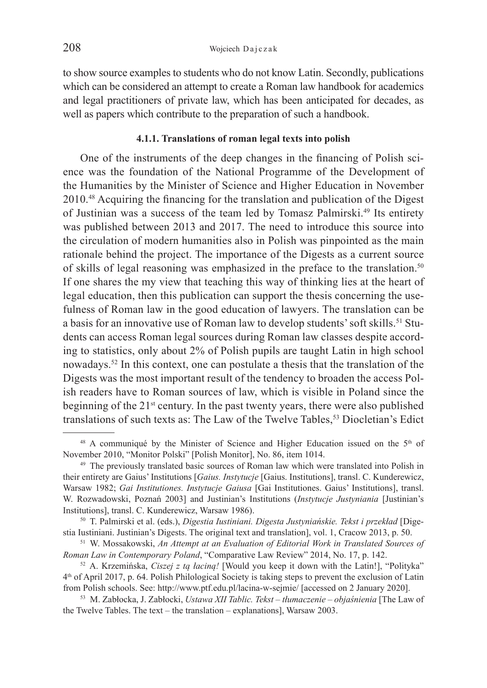to show source examples to students who do not know Latin. Secondly, publications which can be considered an attempt to create a Roman law handbook for academics and legal practitioners of private law, which has been anticipated for decades, as well as papers which contribute to the preparation of such a handbook.

#### **4.1.1. Translations of roman legal texts into polish**

One of the instruments of the deep changes in the financing of Polish science was the foundation of the National Programme of the Development of the Humanities by the Minister of Science and Higher Education in November 2010.48 Acquiring the financing for the translation and publication of the Digest of Justinian was a success of the team led by Tomasz Palmirski.<sup>49</sup> Its entirety was published between 2013 and 2017. The need to introduce this source into the circulation of modern humanities also in Polish was pinpointed as the main rationale behind the project. The importance of the Digests as a current source of skills of legal reasoning was emphasized in the preface to the translation.<sup>50</sup> If one shares the my view that teaching this way of thinking lies at the heart of legal education, then this publication can support the thesis concerning the usefulness of Roman law in the good education of lawyers. The translation can be a basis for an innovative use of Roman law to develop students' soft skills.<sup>51</sup> Students can access Roman legal sources during Roman law classes despite according to statistics, only about 2% of Polish pupils are taught Latin in high school nowadays.52 In this context, one can postulate a thesis that the translation of the Digests was the most important result of the tendency to broaden the access Polish readers have to Roman sources of law, which is visible in Poland since the beginning of the 21<sup>st</sup> century. In the past twenty years, there were also published translations of such texts as: The Law of the Twelve Tables,<sup>53</sup> Diocletian's Edict

 $48$  A communiqué by the Minister of Science and Higher Education issued on the  $5<sup>th</sup>$  of November 2010, "Monitor Polski" [Polish Monitor], No. 86, item 1014. 49 The previously translated basic sources of Roman law which were translated into Polish in

their entirety are Gaius' Institutions [*Gaius. Instytucje* [Gaius. Institutions], transl. C. Kunderewicz, Warsaw 1982; *Gai Institutiones. Instytucje Gaiusa* [Gai Institutiones. Gaius' Institutions], transl. W. Rozwadowski, Poznań 2003] and Justinian's Institutions (*Instytucje Justyniania* [Justinian's

<sup>&</sup>lt;sup>50</sup> T. Palmirski et al. (eds.), *Digestia Iustiniani. Digesta Justyniańskie. Tekst i przekład* [Digestia Iustiniani. Justinian's Digests. The original text and translation], vol. 1, Cracow 2013, p. 50. 51 W. Mossakowski, *An Attempt at an Evaluation of Editorial Work in Translated Sources of* 

*Roman Law in Contemporary Poland*, "Comparative Law Review" 2014, No. 17, p. 142.<br><sup>52</sup> A. Krzemińska, *Ciszej z tą łaciną!* [Would you keep it down with the Latin!], "Polityka"

<sup>4</sup>th of April 2017, p. 64. Polish Philological Society is taking steps to prevent the exclusion of Latin from Polish schools. See: http://www.ptf.edu.pl/lacina-w-sejmie/ [accessed on 2 January 2020]. 53 M. Zabłocka, J. Zabłocki, *Ustawa XII Tablic. Tekst – tłumaczenie – objaśnienia* [The Law of

the Twelve Tables. The text – the translation – explanations], Warsaw 2003.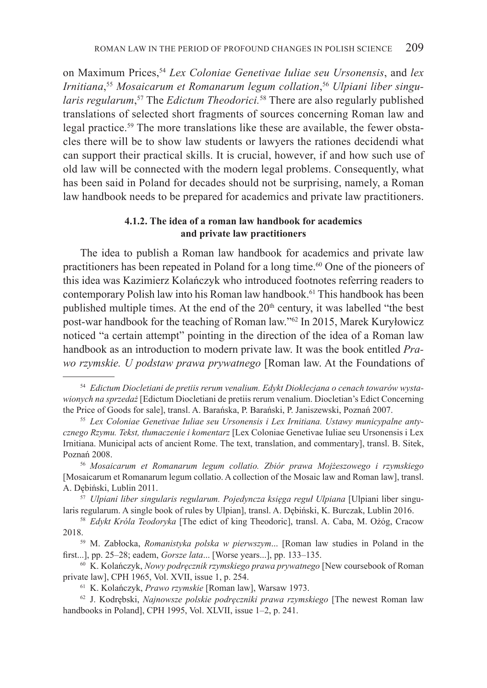on Maximum Prices,54 *Lex Coloniae Genetivae Iuliae seu Ursonensis*, and *lex Irnitiana*, <sup>55</sup> *Mosaicarum et Romanarum legum collation*, <sup>56</sup> *Ulpiani liber singularis regularum*, 57 The *Edictum Theodorici.*58 There are also regularly published translations of selected short fragments of sources concerning Roman law and legal practice.<sup>59</sup> The more translations like these are available, the fewer obstacles there will be to show law students or lawyers the rationes decidendi what can support their practical skills. It is crucial, however, if and how such use of old law will be connected with the modern legal problems. Consequently, what has been said in Poland for decades should not be surprising, namely, a Roman law handbook needs to be prepared for academics and private law practitioners.

### **4.1.2. The idea of a roman law handbook for academics and private law practitioners**

The idea to publish a Roman law handbook for academics and private law practitioners has been repeated in Poland for a long time.<sup>60</sup> One of the pioneers of this idea was Kazimierz Kolańczyk who introduced footnotes referring readers to contemporary Polish law into his Roman law handbook.61 This handbook has been published multiple times. At the end of the 20<sup>th</sup> century, it was labelled "the best post-war handbook for the teaching of Roman law."62 In 2015, Marek Kuryłowicz noticed "a certain attempt" pointing in the direction of the idea of a Roman law handbook as an introduction to modern private law. It was the book entitled *Prawo rzymskie. U podstaw prawa prywatnego* [Roman law. At the Foundations of

<sup>54</sup> *Edictum Diocletiani de pretiis rerum venalium. Edykt Dioklecjana o cenach towarów wystawionych na sprzedaż* [Edictum Diocletiani de pretiis rerum venalium. Diocletian's Edict Concerning the Price of Goods for sale], transl. A. Barańska, P. Barański, P. Janiszewski, Poznań 2007. 55 *Lex Coloniae Genetivae Iuliae seu Ursonensis i Lex Irnitiana. Ustawy municypalne anty-*

*cznego Rzymu. Tekst, tłumaczenie i komentarz* [Lex Coloniae Genetivae Iuliae seu Ursonensis i Lex Irnitiana. Municipal acts of ancient Rome. The text, translation, and commentary], transl. B. Sitek, Poznań 2008. 56 *Mosaicarum et Romanarum legum collatio. Zbiór prawa Mojżeszowego i rzymskiego*

<sup>[</sup>Mosaicarum et Romanarum legum collatio. A collection of the Mosaic law and Roman law], transl. A. Dębiński, Lublin 2011.

<sup>57</sup> *Ulpiani liber singularis regularum. Pojedyncza księga reguł Ulpiana* [Ulpiani liber singularis regularum. A single book of rules by Ulpian], transl. A. Dębiński, K. Burczak, Lublin 2016. 58 *Edykt Króla Teodoryka* [The edict of king Theodoric], transl. A. Caba, M. Ożóg, Cracow

<sup>2018. 59</sup> M. Zabłocka, *Romanistyka polska w pierwszym*... [Roman law studies in Poland in the

first...], pp. 25–28; eadem, *Gorsze lata...* [Worse years...], pp. 133–135.<br><sup>60</sup> K. Kolańczyk, *Nowy podręcznik rzymskiego prawa prywatnego* [New coursebook of Roman

private law], CPH 1965, Vol. XVII, issue 1, p. 254. 61 K. Kolańczyk, *Prawo rzymskie* [Roman law], Warsaw 1973. 62 J. Kodrębski, *Najnowsze polskie podręczniki prawa rzymskiego* [The newest Roman law

handbooks in Poland], CPH 1995, Vol. XLVII, issue 1–2, p. 241.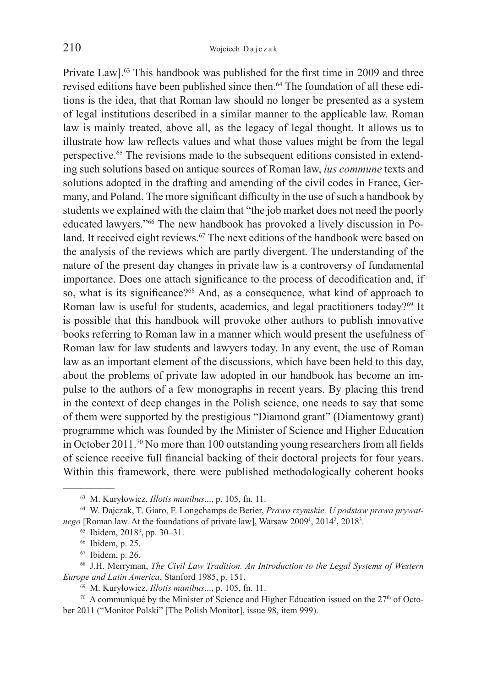Private Law].<sup>63</sup> This handbook was published for the first time in 2009 and three revised editions have been published since then.<sup>64</sup> The foundation of all these editions is the idea, that that Roman law should no longer be presented as a system of legal institutions described in a similar manner to the applicable law. Roman law is mainly treated, above all, as the legacy of legal thought. It allows us to illustrate how law reflects values and what those values might be from the legal perspective.65 The revisions made to the subsequent editions consisted in extending such solutions based on antique sources of Roman law, *ius commune* texts and solutions adopted in the drafting and amending of the civil codes in France, Germany, and Poland. The more significant difficulty in the use of such a handbook by students we explained with the claim that "the job market does not need the poorly educated lawyers."66 The new handbook has provoked a lively discussion in Poland. It received eight reviews.<sup>67</sup> The next editions of the handbook were based on the analysis of the reviews which are partly divergent. The understanding of the nature of the present day changes in private law is a controversy of fundamental importance. Does one attach significance to the process of decodification and, if so, what is its significance?<sup>68</sup> And, as a consequence, what kind of approach to Roman law is useful for students, academics, and legal practitioners today?<sup>69</sup> It is possible that this handbook will provoke other authors to publish innovative books referring to Roman law in a manner which would present the usefulness of Roman law for law students and lawyers today. In any event, the use of Roman law as an important element of the discussions, which have been held to this day, about the problems of private law adopted in our handbook has become an impulse to the authors of a few monographs in recent years. By placing this trend in the context of deep changes in the Polish science, one needs to say that some of them were supported by the prestigious "Diamond grant" (Diamentowy grant) programme which was founded by the Minister of Science and Higher Education in October 2011.70 No more than 100 outstanding young researchers from all fields of science receive full financial backing of their doctoral projects for four years. Within this framework, there were published methodologically coherent books

<sup>63</sup> M. Kuryłowicz, *Illotis manibus*..., p. 105, fn. 11. 64 W. Dajczak, T. Giaro, F. Longchamps de Berier, *Prawo rzymskie. U podstaw prawa prywat*nego [Roman law. At the foundations of private law], Warsaw 2009<sup>1</sup>, 2014<sup>2</sup>, 2018<sup>3</sup>.<br><sup>65</sup> Ibidem, 2018<sup>3</sup>, pp. 30–31.

<sup>&</sup>lt;sup>65</sup> Ibidem, 2018<sup>3</sup>, pp. 30–31.<br><sup>66</sup> Ibidem, p. 25.<br><sup>67</sup> Ibidem, p. 26.<br><sup>68</sup> J.H. Merryman, *The Civil Law Tradition. An Introduction to the Legal Systems of Western Europe and Latin America*, Stanford 1985, p. 151.<br><sup>69</sup> M. Kuryłowicz, *Illotis manibus...*, p. 105, fn. 11.<br><sup>70</sup> A communiqué by the Minister of Science and Higher Education issued on the 27<sup>th</sup> of Octo-

ber 2011 ("Monitor Polski" [The Polish Monitor], issue 98, item 999).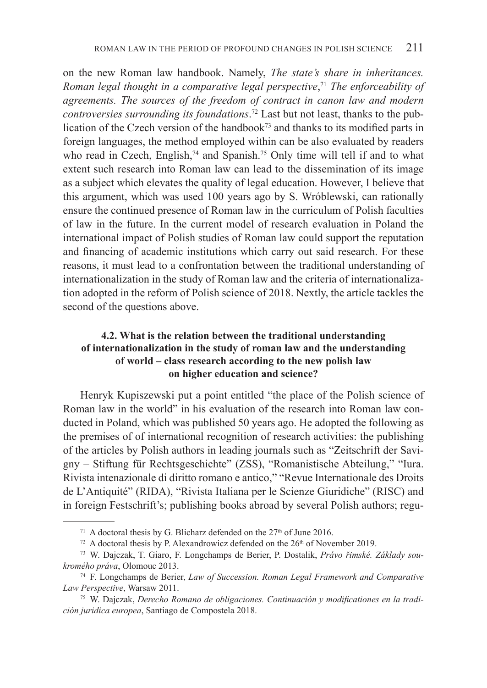on the new Roman law handbook. Namely, *The state's share in inheritances. Roman legal thought in a comparative legal perspective*, <sup>71</sup> *The enforceability of agreements. The sources of the freedom of contract in canon law and modern controversies surrounding its foundations*. 72 Last but not least, thanks to the publication of the Czech version of the handbook73 and thanks to its modified parts in foreign languages, the method employed within can be also evaluated by readers who read in Czech, English,<sup>74</sup> and Spanish.<sup>75</sup> Only time will tell if and to what extent such research into Roman law can lead to the dissemination of its image as a subject which elevates the quality of legal education. However, I believe that this argument, which was used 100 years ago by S. Wróblewski, can rationally ensure the continued presence of Roman law in the curriculum of Polish faculties of law in the future. In the current model of research evaluation in Poland the international impact of Polish studies of Roman law could support the reputation and financing of academic institutions which carry out said research. For these reasons, it must lead to a confrontation between the traditional understanding of internationalization in the study of Roman law and the criteria of internationalization adopted in the reform of Polish science of 2018. Nextly, the article tackles the second of the questions above.

# **4.2. What is the relation between the traditional understanding of internationalization in the study of roman law and the understanding of world – class research according to the new polish law on higher education and science?**

Henryk Kupiszewski put a point entitled "the place of the Polish science of Roman law in the world" in his evaluation of the research into Roman law conducted in Poland, which was published 50 years ago. He adopted the following as the premises of of international recognition of research activities: the publishing of the articles by Polish authors in leading journals such as "Zeitschrift der Savigny – Stiftung für Rechtsgeschichte" (ZSS), "Romanistische Abteilung," "Iura. Rivista intenazionale di diritto romano e antico," "Revue Internationale des Droits de L'Antiquité" (RIDA), "Rivista Italiana per le Scienze Giuridiche" (RISC) and in foreign Festschrift's; publishing books abroad by several Polish authors; regu-

<sup>&</sup>lt;sup>71</sup> A doctoral thesis by G. Blicharz defended on the  $27<sup>th</sup>$  of June 2016.<br><sup>72</sup> A doctoral thesis by P. Alexandrowicz defended on the  $26<sup>th</sup>$  of November 2019.<br><sup>73</sup> W. Daiczak, T. Giaro, F. Longchamps de Berier, *kromého práva*, Olomouc 2013. 74 F. Longchamps de Berier, *Law of Succession. Roman Legal Framework and Comparative* 

*Law Perspective*, Warsaw 2011. 75 W. Dajczak, *Derecho Romano de obligaciones. Continuación y modificationes en la tradi-*

*ción juridica europea*, Santiago de Compostela 2018.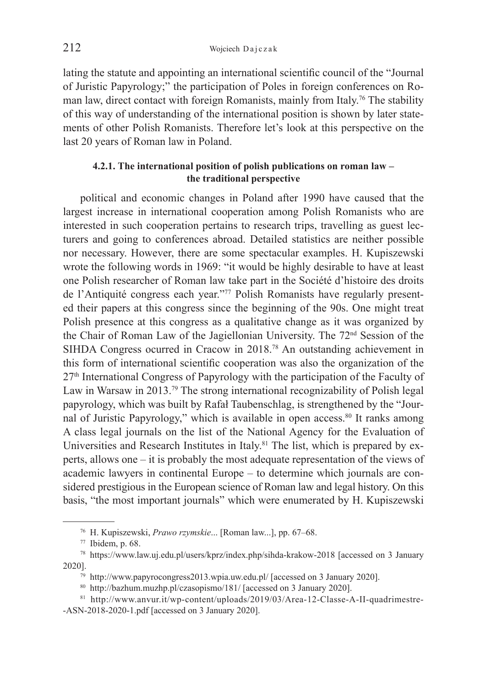lating the statute and appointing an international scientific council of the "Journal of Juristic Papyrology;" the participation of Poles in foreign conferences on Roman law, direct contact with foreign Romanists, mainly from Italy.76 The stability of this way of understanding of the international position is shown by later statements of other Polish Romanists. Therefore let's look at this perspective on the last 20 years of Roman law in Poland.

### **4.2.1. The international position of polish publications on roman law – the traditional perspective**

political and economic changes in Poland after 1990 have caused that the largest increase in international cooperation among Polish Romanists who are interested in such cooperation pertains to research trips, travelling as guest lecturers and going to conferences abroad. Detailed statistics are neither possible nor necessary. However, there are some spectacular examples. H. Kupiszewski wrote the following words in 1969: "it would be highly desirable to have at least one Polish researcher of Roman law take part in the Société d'histoire des droits de l'Antiquité congress each year."77 Polish Romanists have regularly presented their papers at this congress since the beginning of the 90s. One might treat Polish presence at this congress as a qualitative change as it was organized by the Chair of Roman Law of the Jagiellonian University. The 72nd Session of the SIHDA Congress ocurred in Cracow in 2018.78 An outstanding achievement in this form of international scientific cooperation was also the organization of the  $27<sup>th</sup>$  International Congress of Papyrology with the participation of the Faculty of Law in Warsaw in 2013.79 The strong international recognizability of Polish legal papyrology, which was built by Rafał Taubenschlag, is strengthened by the "Journal of Juristic Papyrology," which is available in open access.<sup>80</sup> It ranks among A class legal journals on the list of the National Agency for the Evaluation of Universities and Research Institutes in Italy.<sup>81</sup> The list, which is prepared by experts, allows one – it is probably the most adequate representation of the views of academic lawyers in continental Europe – to determine which journals are considered prestigious in the European science of Roman law and legal history. On this basis, "the most important journals" which were enumerated by H. Kupiszewski

<sup>76</sup> H. Kupiszewski, *Prawo rzymskie*... [Roman law...], pp. 67–68. 77 Ibidem, p. 68. 78 https://www.law.uj.edu.pl/users/kprz/index.php/sihda-krakow-2018 [accessed on 3 January 2020].<br>
<sup>79</sup> http://www.papyrocongress2013.wpia.uw.edu.pl/ [accessed on 3 January 2020].<br>
<sup>80</sup> http://bazhum.muzhp.pl/czasopismo/181/ [accessed on 3 January 2020].<br>
<sup>81</sup> http://www.anvur.it/wp-content/uploads/2019/03/Area

<sup>-</sup>ASN-2018-2020-1.pdf [accessed on 3 January 2020].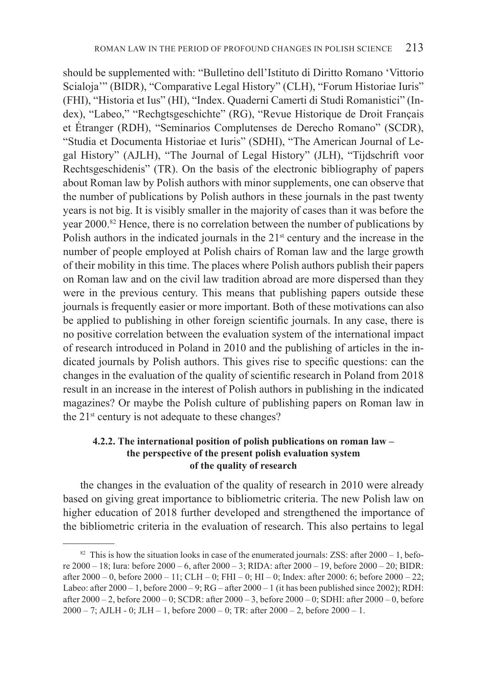should be supplemented with: "Bulletino dell'Istituto di Diritto Romano 'Vittorio Scialoja'" (BIDR), "Comparative Legal History" (CLH), "Forum Historiae Iuris" (FHI), "Historia et Ius" (HI), "Index. Quaderni Camerti di Studi Romanistici" (Index), "Labeo," "Rechgtsgeschichte" (RG), "Revue Historique de Droit Français et Étranger (RDH), "Seminarios Complutenses de Derecho Romano" (SCDR), "Studia et Documenta Historiae et Iuris" (SDHI), "The American Journal of Legal History" (AJLH), "The Journal of Legal History" (JLH), "Tijdschrift voor Rechtsgeschidenis" (TR). On the basis of the electronic bibliography of papers about Roman law by Polish authors with minor supplements, one can observe that the number of publications by Polish authors in these journals in the past twenty years is not big. It is visibly smaller in the majority of cases than it was before the year 2000.<sup>82</sup> Hence, there is no correlation between the number of publications by Polish authors in the indicated journals in the  $21<sup>st</sup>$  century and the increase in the number of people employed at Polish chairs of Roman law and the large growth of their mobility in this time. The places where Polish authors publish their papers on Roman law and on the civil law tradition abroad are more dispersed than they were in the previous century. This means that publishing papers outside these journals is frequently easier or more important. Both of these motivations can also be applied to publishing in other foreign scientific journals. In any case, there is no positive correlation between the evaluation system of the international impact of research introduced in Poland in 2010 and the publishing of articles in the indicated journals by Polish authors. This gives rise to specific questions: can the changes in the evaluation of the quality of scientific research in Poland from 2018 result in an increase in the interest of Polish authors in publishing in the indicated magazines? Or maybe the Polish culture of publishing papers on Roman law in the  $21<sup>st</sup>$  century is not adequate to these changes?

# **4.2.2. The international position of polish publications on roman law – the perspective of the present polish evaluation system of the quality of research**

the changes in the evaluation of the quality of research in 2010 were already based on giving great importance to bibliometric criteria. The new Polish law on higher education of 2018 further developed and strengthened the importance of the bibliometric criteria in the evaluation of research. This also pertains to legal

<sup>&</sup>lt;sup>82</sup> This is how the situation looks in case of the enumerated journals: ZSS: after  $2000 - 1$ , before 2000 – 18; Iura: before 2000 – 6, after 2000 – 3; RIDA: after 2000 – 19, before 2000 – 20; BIDR: after 2000 – 0, before 2000 – 11; CLH – 0; FHI – 0; HI – 0; Index: after 2000: 6; before 2000 – 22; Labeo: after  $2000 - 1$ , before  $2000 - 9$ ; RG – after  $2000 - 1$  (it has been published since  $2002$ ); RDH: after 2000 – 2, before 2000 – 0; SCDR: after 2000 – 3, before 2000 – 0; SDHI: after 2000 – 0, before 2000 – 7; AJLH - 0; JLH – 1, before 2000 – 0; TR: after 2000 – 2, before 2000 – 1.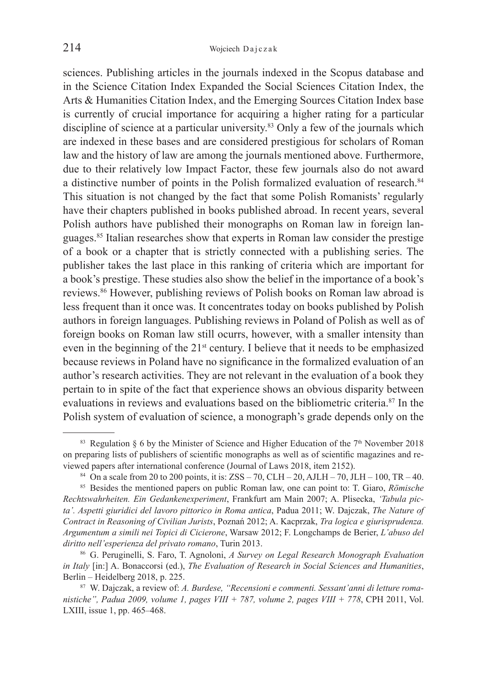sciences. Publishing articles in the journals indexed in the Scopus database and in the Science Citation Index Expanded the Social Sciences Citation Index, the Arts & Humanities Citation Index, and the Emerging Sources Citation Index base is currently of crucial importance for acquiring a higher rating for a particular discipline of science at a particular university.<sup>83</sup> Only a few of the journals which are indexed in these bases and are considered prestigious for scholars of Roman law and the history of law are among the journals mentioned above. Furthermore, due to their relatively low Impact Factor, these few journals also do not award a distinctive number of points in the Polish formalized evaluation of research.<sup>84</sup> This situation is not changed by the fact that some Polish Romanists' regularly have their chapters published in books published abroad. In recent years, several Polish authors have published their monographs on Roman law in foreign languages.85 Italian researches show that experts in Roman law consider the prestige of a book or a chapter that is strictly connected with a publishing series. The publisher takes the last place in this ranking of criteria which are important for a book's prestige. These studies also show the belief in the importance of a book's reviews.86 However, publishing reviews of Polish books on Roman law abroad is less frequent than it once was. It concentrates today on books published by Polish authors in foreign languages. Publishing reviews in Poland of Polish as well as of foreign books on Roman law still ocurrs, however, with a smaller intensity than even in the beginning of the 21st century. I believe that it needs to be emphasized because reviews in Poland have no significance in the formalized evaluation of an author's research activities. They are not relevant in the evaluation of a book they pertain to in spite of the fact that experience shows an obvious disparity between evaluations in reviews and evaluations based on the bibliometric criteria.<sup>87</sup> In the Polish system of evaluation of science, a monograph's grade depends only on the

<sup>&</sup>lt;sup>83</sup> Regulation § 6 by the Minister of Science and Higher Education of the  $7<sup>th</sup>$  November 2018 on preparing lists of publishers of scientific monographs as well as of scientific magazines and reviewed papers after international conference (Journal of Laws 2018, item 2152).<br><sup>84</sup> On a scale from 20 to 200 points, it is: ZSS – 70, CLH – 20, AJLH – 70, JLH – 100, TR – 40.<br><sup>85</sup> Besides the mentioned papers on public

*Rechtswahrheiten. Ein Gedankenexperiment*, Frankfurt am Main 2007; A. Plisecka, *'Tabula picta'. Aspetti giuridici del lavoro pittorico in Roma antica*, Padua 2011; W. Dajczak, *The Nature of Contract in Reasoning of Civilian Jurists*, Poznań 2012; A. Kacprzak, *Tra logica e giurisprudenza. Argumentum a simili nei Topici di Cicierone*, Warsaw 2012; F. Longchamps de Berier, *L'abuso del diritto nell'esperienza del privato romano*, Turin 2013.<br><sup>86</sup> G. Peruginelli, S. Faro, T. Agnoloni, *A Survey on Legal Research Monograph Evaluation* 

*in Italy* [in:] A. Bonaccorsi (ed.), *The Evaluation of Research in Social Sciences and Humanities*, Berlin – Heidelberg 2018, p. 225.<br><sup>87</sup> W. Dajczak, a review of: *A. Burdese, "Recensioni e commenti. Sessant'anni di letture roma-*

*nistiche", Padua 2009, volume 1, pages VIII + 787, volume 2, pages VIII + 778*, CPH 2011, Vol. LXIII, issue 1, pp. 465–468.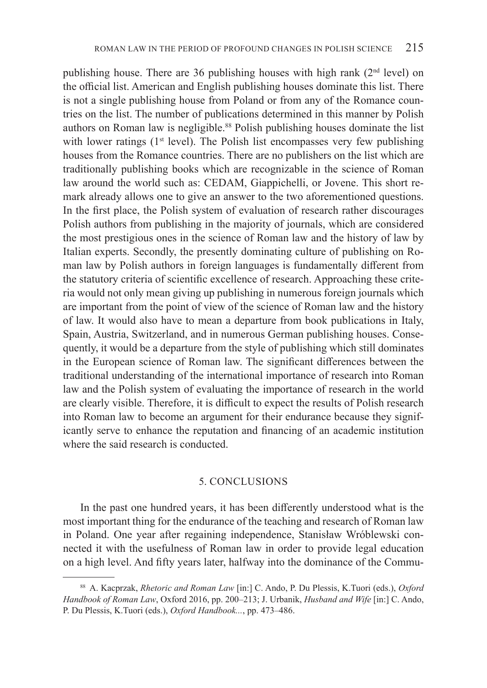publishing house. There are 36 publishing houses with high rank (2<sup>nd</sup> level) on the official list. American and English publishing houses dominate this list. There is not a single publishing house from Poland or from any of the Romance countries on the list. The number of publications determined in this manner by Polish authors on Roman law is negligible.<sup>88</sup> Polish publishing houses dominate the list with lower ratings ( $1<sup>st</sup>$  level). The Polish list encompasses very few publishing houses from the Romance countries. There are no publishers on the list which are traditionally publishing books which are recognizable in the science of Roman law around the world such as: CEDAM, Giappichelli, or Jovene. This short remark already allows one to give an answer to the two aforementioned questions. In the first place, the Polish system of evaluation of research rather discourages Polish authors from publishing in the majority of journals, which are considered the most prestigious ones in the science of Roman law and the history of law by Italian experts. Secondly, the presently dominating culture of publishing on Roman law by Polish authors in foreign languages is fundamentally different from the statutory criteria of scientific excellence of research. Approaching these criteria would not only mean giving up publishing in numerous foreign journals which are important from the point of view of the science of Roman law and the history of law. It would also have to mean a departure from book publications in Italy, Spain, Austria, Switzerland, and in numerous German publishing houses. Consequently, it would be a departure from the style of publishing which still dominates in the European science of Roman law. The significant differences between the traditional understanding of the international importance of research into Roman law and the Polish system of evaluating the importance of research in the world are clearly visible. Therefore, it is difficult to expect the results of Polish research into Roman law to become an argument for their endurance because they significantly serve to enhance the reputation and financing of an academic institution where the said research is conducted.

#### 5. CONCLUSIONS

In the past one hundred years, it has been differently understood what is the most important thing for the endurance of the teaching and research of Roman law in Poland. One year after regaining independence, Stanisław Wróblewski connected it with the usefulness of Roman law in order to provide legal education on a high level. And fifty years later, halfway into the dominance of the Commu-

<sup>88</sup> A. Kacprzak, *Rhetoric and Roman Law* [in:] C. Ando, P. Du Plessis, K.Tuori (eds.), *Oxford Handbook of Roman Law*, Oxford 2016, pp. 200–213; J. Urbanik, *Husband and Wife* [in:] C. Ando, P. Du Plessis, K.Tuori (eds.), *Oxford Handbook...*, pp. 473–486.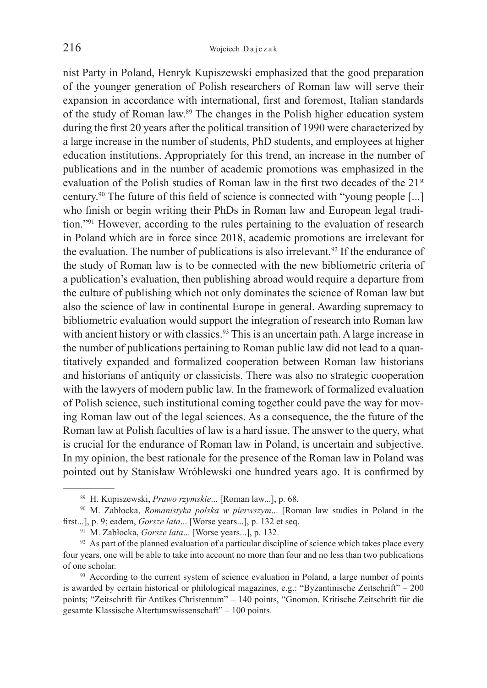nist Party in Poland, Henryk Kupiszewski emphasized that the good preparation of the younger generation of Polish researchers of Roman law will serve their expansion in accordance with international, first and foremost, Italian standards of the study of Roman law.89 The changes in the Polish higher education system during the first 20 years after the political transition of 1990 were characterized by a large increase in the number of students, PhD students, and employees at higher education institutions. Appropriately for this trend, an increase in the number of publications and in the number of academic promotions was emphasized in the evaluation of the Polish studies of Roman law in the first two decades of the 21<sup>st</sup> century.90 The future of this field of science is connected with "young people [...] who finish or begin writing their PhDs in Roman law and European legal tradition."91 However, according to the rules pertaining to the evaluation of research in Poland which are in force since 2018, academic promotions are irrelevant for the evaluation. The number of publications is also irrelevant.<sup>92</sup> If the endurance of the study of Roman law is to be connected with the new bibliometric criteria of a publication's evaluation, then publishing abroad would require a departure from the culture of publishing which not only dominates the science of Roman law but also the science of law in continental Europe in general. Awarding supremacy to bibliometric evaluation would support the integration of research into Roman law with ancient history or with classics.<sup>93</sup> This is an uncertain path. A large increase in the number of publications pertaining to Roman public law did not lead to a quantitatively expanded and formalized cooperation between Roman law historians and historians of antiquity or classicists. There was also no strategic cooperation with the lawyers of modern public law. In the framework of formalized evaluation of Polish science, such institutional coming together could pave the way for moving Roman law out of the legal sciences. As a consequence, the the future of the Roman law at Polish faculties of law is a hard issue. The answer to the query, what is crucial for the endurance of Roman law in Poland, is uncertain and subjective. In my opinion, the best rationale for the presence of the Roman law in Poland was pointed out by Stanisław Wróblewski one hundred years ago. It is confirmed by

<sup>89</sup> H. Kupiszewski, *Prawo rzymskie*... [Roman law...], p. 68. 90 M. Zabłocka, *Romanistyka polska w pierwszym*... [Roman law studies in Poland in the first...], p. 9; eadem, *Gorsze lata...* [Worse years...], p. 132 et seq.<br><sup>91</sup> M. Zabłocka, *Gorsze lata...* [Worse years...], p. 132.<br><sup>92</sup> As part of the planned evaluation of a particular discipline of science which take

four years, one will be able to take into account no more than four and no less than two publications of one scholar.

<sup>93</sup> According to the current system of science evaluation in Poland, a large number of points is awarded by certain historical or philological magazines, e.g.: "Byzantinische Zeitschrift" – 200 points; "Zeitschrift für Antikes Christentum" – 140 points, "Gnomon. Kritische Zeitschrift für die gesamte Klassische Altertumswissenschaft" – 100 points.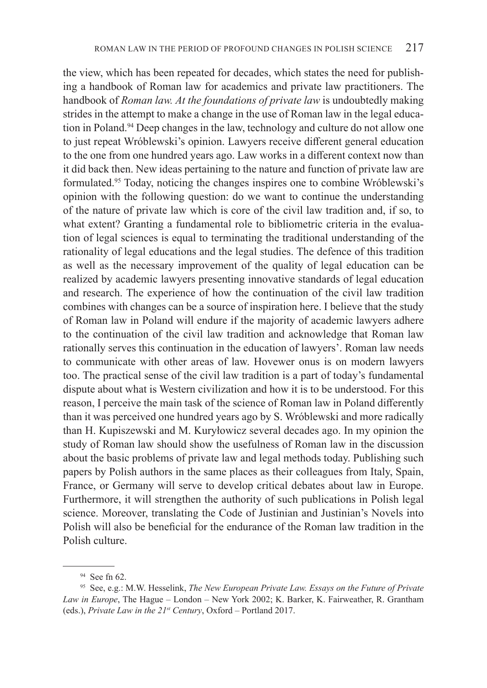the view, which has been repeated for decades, which states the need for publishing a handbook of Roman law for academics and private law practitioners. The handbook of *Roman law. At the foundations of private law* is undoubtedly making strides in the attempt to make a change in the use of Roman law in the legal education in Poland.94 Deep changes in the law, technology and culture do not allow one to just repeat Wróblewski's opinion. Lawyers receive different general education to the one from one hundred years ago. Law works in a different context now than it did back then. New ideas pertaining to the nature and function of private law are formulated.95 Today, noticing the changes inspires one to combine Wróblewski's opinion with the following question: do we want to continue the understanding of the nature of private law which is core of the civil law tradition and, if so, to what extent? Granting a fundamental role to bibliometric criteria in the evaluation of legal sciences is equal to terminating the traditional understanding of the rationality of legal educations and the legal studies. The defence of this tradition as well as the necessary improvement of the quality of legal education can be realized by academic lawyers presenting innovative standards of legal education and research. The experience of how the continuation of the civil law tradition combines with changes can be a source of inspiration here. I believe that the study of Roman law in Poland will endure if the majority of academic lawyers adhere to the continuation of the civil law tradition and acknowledge that Roman law rationally serves this continuation in the education of lawyers'. Roman law needs to communicate with other areas of law. Hovewer onus is on modern lawyers too. The practical sense of the civil law tradition is a part of today's fundamental dispute about what is Western civilization and how it is to be understood. For this reason, I perceive the main task of the science of Roman law in Poland differently than it was perceived one hundred years ago by S. Wróblewski and more radically than H. Kupiszewski and M. Kuryłowicz several decades ago. In my opinion the study of Roman law should show the usefulness of Roman law in the discussion about the basic problems of private law and legal methods today. Publishing such papers by Polish authors in the same places as their colleagues from Italy, Spain, France, or Germany will serve to develop critical debates about law in Europe. Furthermore, it will strengthen the authority of such publications in Polish legal science. Moreover, translating the Code of Justinian and Justinian's Novels into Polish will also be beneficial for the endurance of the Roman law tradition in the Polish culture.

<sup>&</sup>lt;sup>94</sup> See fn 62.<br><sup>95</sup> See, e.g.: M.W. Hesselink, *The New European Private Law. Essays on the Future of Private Law in Europe*, The Hague – London – New York 2002; K. Barker, K. Fairweather, R. Grantham (eds.), *Private Law in the 21st Century*, Oxford – Portland 2017.